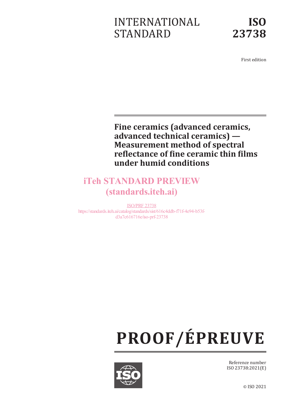# INTERNATIONAL STANDARD



First edition

**Fine ceramics (advanced ceramics, advanced technical ceramics) — Measurement method of spectral reflectance of fine ceramic thin films under humid conditions**

### iTeh STANDARD PREVIEW (standards.iteh.ai)

ISO/PRF 23738 https://standards.iteh.ai/catalog/standards/sist/616c4ddb-f71f-4e94-b53fd3a7c616716e/iso-prf-23738

# **PROOF/ÉPREUVE**



Reference number ISO 23738:2021(E)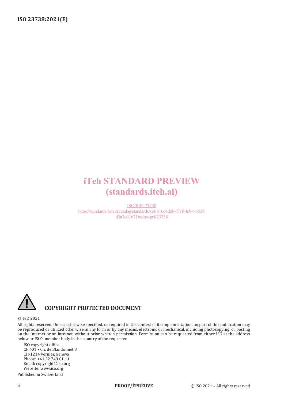### iTeh STANDARD PREVIEW (standards.iteh.ai)

ISO/PRF 23738 https://standards.iteh.ai/catalog/standards/sist/616c4ddb-f71f-4e94-b53fd3a7c616716e/iso-prf-23738



#### **COPYRIGHT PROTECTED DOCUMENT**

#### © ISO 2021

All rights reserved. Unless otherwise specified, or required in the context of its implementation, no part of this publication may be reproduced or utilized otherwise in any form or by any means, electronic or mechanical, including photocopying, or posting on the internet or an intranet, without prior written permission. Permission can be requested from either ISO at the address below or ISO's member body in the country of the requester.

ISO copyright office CP 401 • Ch. de Blandonnet 8 CH-1214 Vernier, Geneva Phone: +41 22 749 01 11 Email: copyright@iso.org Website: www.iso.org

Published in Switzerland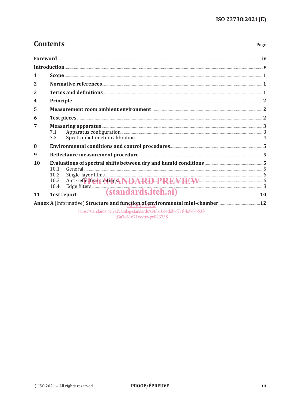Page

### **Contents**

| 1        |                                                                                                                                                                                                                                      |  |
|----------|--------------------------------------------------------------------------------------------------------------------------------------------------------------------------------------------------------------------------------------|--|
| 2        |                                                                                                                                                                                                                                      |  |
| 3        | Terms and definitions <b>contract to the contract of the contract of the contract of the contract of the contract of the contract of the contract of the contract of the contract of the contract of the contract of the contrac</b> |  |
| 4        | Principle 2                                                                                                                                                                                                                          |  |
| 5        | Measurement room ambient environment <b>Election Comment</b> 2                                                                                                                                                                       |  |
| 6        |                                                                                                                                                                                                                                      |  |
| 7<br>8   | 7.1<br>7.2                                                                                                                                                                                                                           |  |
| 9        | Reflectance measurement procedure <b>Engineering Communities</b> 5                                                                                                                                                                   |  |
| 10<br>11 | 10.1<br>10.2 Single-layer films.<br>10.3 Anti-reflective coatings NDARD PREVIEW 6<br>10.4 Edge filters. (Standards.iteh.ai) 10                                                                                                       |  |
|          |                                                                                                                                                                                                                                      |  |
|          | https://standards.iteh.ai/catalog/standards/sist/616c4ddb-f71f-4e94-b53f-                                                                                                                                                            |  |

d3a7c616716e/iso-prf-23738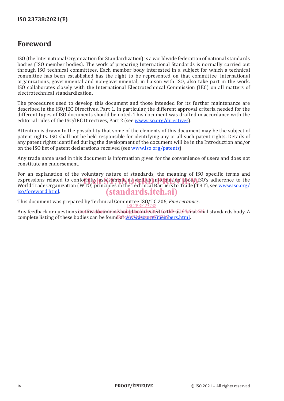### **Foreword**

ISO (the International Organization for Standardization) is a worldwide federation of national standards bodies (ISO member bodies). The work of preparing International Standards is normally carried out through ISO technical committees. Each member body interested in a subject for which a technical committee has been established has the right to be represented on that committee. International organizations, governmental and non-governmental, in liaison with ISO, also take part in the work. ISO collaborates closely with the International Electrotechnical Commission (IEC) on all matters of electrotechnical standardization.

The procedures used to develop this document and those intended for its further maintenance are described in the ISO/IEC Directives, Part 1. In particular, the different approval criteria needed for the different types of ISO documents should be noted. This document was drafted in accordance with the editorial rules of the ISO/IEC Directives, Part 2 (see www.iso.org/directives).

Attention is drawn to the possibility that some of the elements of this document may be the subject of patent rights. ISO shall not be held responsible for identifying any or all such patent rights. Details of any patent rights identified during the development of the document will be in the Introduction and/or on the ISO list of patent declarations received (see www.iso.org/patents).

Any trade name used in this document is information given for the convenience of users and does not constitute an endorsement.

For an explanation of the voluntary nature of standards, the meaning of ISO specific terms and expressions related to conformity assessment, as well as information about ISO's adherence to the<br>World Trade Organization (WTO) principles in the Technical Barriers to Trade (TBT), see www.iso.org/ World Trade Organization (WTO) principles in the Technical Barriers to Trade (TBT), see www.iso.org/ iso/foreword.html. (standards.iteh.ai)

This document was prepared by Technical Committee ISO/TC 206, *Fine ceramics*.

ISO/PRF 23738

Any feedback or questions om this document should be directed to the user's national standards body. A complete listing of these bodies can be found at www.iso.org/members.html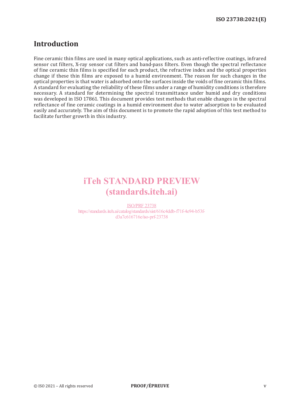### **Introduction**

Fine ceramic thin films are used in many optical applications, such as anti-reflective coatings, infrared sensor cut filters, X-ray sensor cut filters and band-pass filters. Even though the spectral reflectance of fine ceramic thin films is specified for each product, the refractive index and the optical properties change if these thin films are exposed to a humid environment. The reason for such changes in the optical properties is that water is adsorbed onto the surfaces inside the voids of fine ceramic thin films. A standard for evaluating the reliability of these films under a range of humidity conditions is therefore necessary. A standard for determining the spectral transmittance under humid and dry conditions was developed in ISO 17861. This document provides test methods that enable changes in the spectral reflectance of fine ceramic coatings in a humid environment due to water adsorption to be evaluated easily and accurately. The aim of this document is to promote the rapid adoption of this test method to facilitate further growth in this industry.

### iTeh STANDARD PREVIEW (standards.iteh.ai)

ISO/PRF 23738 https://standards.iteh.ai/catalog/standards/sist/616c4ddb-f71f-4e94-b53fd3a7c616716e/iso-prf-23738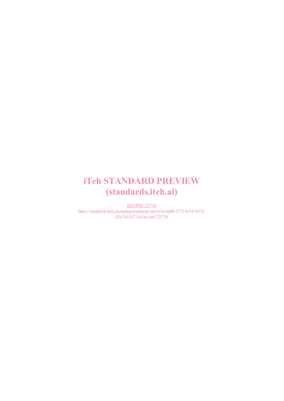## iTeh STANDARD PREVIEW (standards.iteh.ai)

ISO/PRF 23738 https://standards.iteh.ai/catalog/standards/sist/616c4ddb-f71f-4e94-b53fd3a7c616716e/iso-prf-23738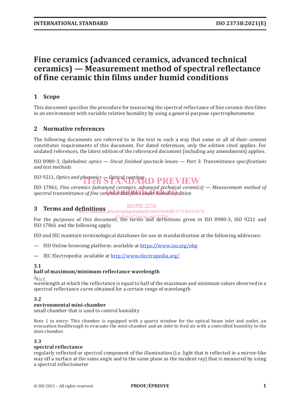### **Fine ceramics (advanced ceramics, advanced technical ceramics) — Measurement method of spectral reflectance of fine ceramic thin films under humid conditions**

#### **1 Scope**

This document specifies the procedure for measuring the spectral reflectance of fine ceramic thin films in an environment with variable relative humidity by using a general-purpose spectrophotometer.

#### **2 Normative references**

The following documents are referred to in the text in such a way that some or all of their content constitutes requirements of this document. For dated references, only the edition cited applies. For undated references, the latest edition of the referenced document (including any amendments) applies.

ISO 8980-3, *Ophthalmic optics — Uncut finished spectacle lenses — Part 3: Transmittance specifications and test methods*

# ISO 9211, *Optics and photonics* and *Photonics* **Busical coatings D PREVIEW**

ISO 17861, *Fine ceramics (advanced ceramics, advanced technical ceramics) — Measurement method of*  iso 17861, rine ceramics (aavanced ceramics, aavanced technical cera<br>spectral transmittance of fine ceramics thin films under humid condition

#### ISO/PRF 23738

**3 Terms and definitions**<br> **https://standards.iteh.ai/catalog/standards/sist/616c4ddb-f71f-4e94-b53f-**

For the purposes of this document, the terms and definitions given in ISO 8980-3, ISO 9211 and ISO 17861 and the following apply.

ISO and IEC maintain terminological databases for use in standardization at the following addresses:

- ISO Online browsing platform: available at https://www.iso.org/obp
- IEC Electropedia: available at http://www.electropedia.org/

#### **3.1**

#### **half of maximum/minimum reflectance wavelength**

 $λ$ <sub>R1/2</sub>

wavelength at which the reflectance is equal to half of the maximum and minimum values observed in a spectral reflectance curve obtained for a certain range of wavelength

#### **3.2**

#### **environmental mini-chamber**

small chamber that is used to control humidity

Note 1 to entry: This chamber is equipped with a quartz window for the optical beam inlet and outlet, an evacuation feedthrough to evacuate the mini-chamber and an inlet to feed air with a controlled humidity to the mini-chamber.

#### **3.3**

#### **spectral reflectance**

regularly reflected or spectral component of the illumination (i.e. light that is reflected in a mirror-like way off a surface at the same angle and in the same plane as the incident ray) that is measured by using a spectral reflectometer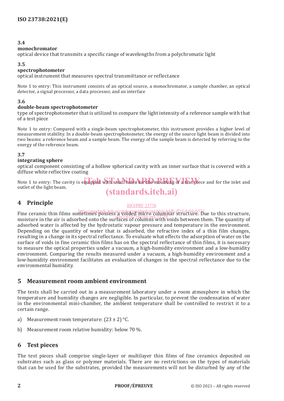#### **3.4**

#### **monochromator**

optical device that transmits a specific range of wavelengths from a polychromatic light

#### **3.5**

#### **spectrophotometer**

optical instrument that measures spectral transmittance or reflectance

Note 1 to entry: This instrument consists of an optical source, a monochromator, a sample chamber, an optical detector, a signal processor, a data processor, and an interface

#### **3.6**

#### **double-beam spectrophotometer**

type of spectrophotometer that is utilized to compare the light intensity of a reference sample with that of a test piece

Note 1 to entry: Compared with a single-beam spectrophotometer, this instrument provides a higher level of measurement stability. In a double-beam spectrophotometer, the energy of the source light beam is divided into two beams: a reference beam and a sample beam. The energy of the sample beam is detected by referring to the energy of the reference beam.

#### **3.7**

#### **integrating sphere**

optical component consisting of a hollow spherical cavity with an inner surface that is covered with a diffuse white reflective coating

Note 1 to entry: The cavity is equipped with small holes for the mounting of a test piece and for the inlet and outlet of the light beam. (standards.iteh.ai)

#### **4 Principle**

#### ISO/PRF 23738

Fine ceramic thin films sometimes possess a voided micro columnar structure.<br>Fine ceramic thin films sometimes possess a voided micro columnar structure. moisture in the air is adsorbed onto the surfaces of columns with voids between them. The quantity of moisture in the air is adsorbed onto the surfaces of columns with voids between them. The quantity of adsorbed water is affected by the hydrostatic vapour pressure and temperature in the environment. Depending on the quantity of water that is adsorbed, the refractive index of a thin film changes, resulting in a change in its spectral reflectance. To evaluate what effects the adsorption of water on the surface of voids in fine ceramic thin films has on the spectral reflectance of thin films, it is necessary to measure the optical properties under a vacuum, a high-humidity environment and a low-humidity environment. Comparing the results measured under a vacuum, a high-humidity environment and a low-humidity environment facilitates an evaluation of changes in the spectral reflectance due to the environmental humidity.

#### **5 Measurement room ambient environment**

The tests shall be carried out in a measurement laboratory under a room atmosphere in which the temperature and humidity changes are negligible. In particular, to prevent the condensation of water in the environmental mini-chamber, the ambient temperature shall be controlled to restrict it to a certain range.

- a) Measurement room temperature:  $(23 \pm 2)$  °C.
- b) Measurement room relative humidity: below 70 %.

#### **6 Test pieces**

The test pieces shall comprise single-layer or multilayer thin films of fine ceramics deposited on substrates such as glass or polymer materials. There are no restrictions on the types of materials that can be used for the substrates, provided the measurements will not be disturbed by any of the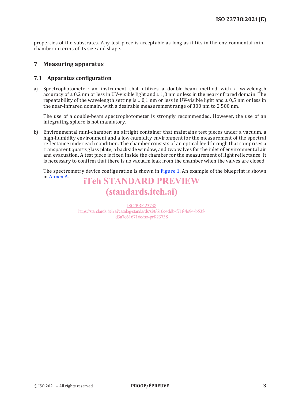properties of the substrates. Any test piece is acceptable as long as it fits in the environmental minichamber in terms of its size and shape.

#### **7 Measuring apparatus**

#### **7.1 Apparatus configuration**

a) Spectrophotometer: an instrument that utilizes a double-beam method with a wavelength accuracy of  $\pm$  0,2 nm or less in UV-visible light and  $\pm$  1,0 nm or less in the near-infrared domain. The repeatability of the wavelength setting is  $\pm$  0,1 nm or less in UV-visible light and  $\pm$  0,5 nm or less in the near-infrared domain, with a desirable measurement range of 300 nm to 2 500 nm.

The use of a double-beam spectrophotometer is strongly recommended. However, the use of an integrating sphere is not mandatory.

b) Environmental mini-chamber: an airtight container that maintains test pieces under a vacuum, a high-humidity environment and a low-humidity environment for the measurement of the spectral reflectance under each condition. The chamber consists of an optical feedthrough that comprises a transparent quartz glass plate, a backside window, and two valves for the inlet of environmental air and evacuation. A test piece is fixed inside the chamber for the measurement of light reflectance. It is necessary to confirm that there is no vacuum leak from the chamber when the valves are closed.

The spectrometry device configuration is shown in Figure 1. An example of the blueprint is shown in Annex A. iTeh STANDARD PREVIEW

# (standards.iteh.ai)

ISO/PRF 23738 https://standards.iteh.ai/catalog/standards/sist/616c4ddb-f71f-4e94-b53fd3a7c616716e/iso-prf-23738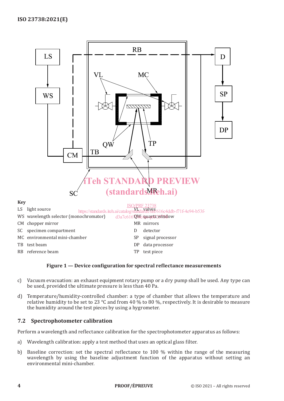

#### **Figure 1 — Device configuration for spectral reflectance measurements**

- c) Vacuum evacuation: an exhaust equipment rotary pump or a dry pump shall be used. Any type can be used, provided the ultimate pressure is less than 40 Pa.
- d) Temperature/humidity-controlled chamber: a type of chamber that allows the temperature and relative humidity to be set to 23 °C and from 40 % to 80 %, respectively. It is desirable to measure the humidity around the test pieces by using a hygrometer.

#### **7.2 Spectrophotometer calibration**

Perform a wavelength and reflectance calibration for the spectrophotometer apparatus as follows:

- a) Wavelength calibration: apply a test method that uses an optical glass filter.
- b) Baseline correction: set the spectral reflectance to 100 % within the range of the measuring wavelength by using the baseline adjustment function of the apparatus without setting an environmental mini-chamber.